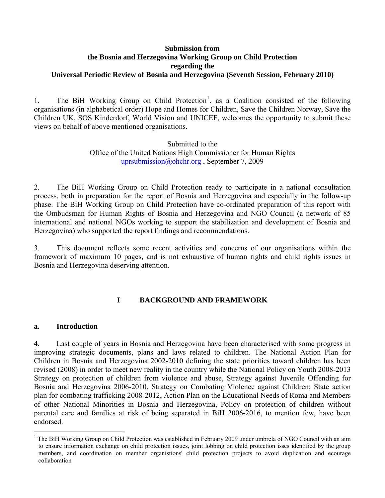#### **Submission from the Bosnia and Herzegovina Working Group on Child Protection regarding the Universal Periodic Review of Bosnia and Herzegovina (Seventh Session, February 2010)**

[1](#page-0-0). The BiH Working Group on Child Protection<sup>1</sup>, as a Coalition consisted of the following organisations (in alphabetical order) Hope and Homes for Children, Save the Children Norway, Save the Children UK, SOS Kinderdorf, World Vision and UNICEF, welcomes the opportunity to submit these views on behalf of above mentioned organisations.

> Submitted to the Office of the United Nations High Commissioner for Human Rights [uprsubmission@ohchr.org](mailto:uprsubmission@ohchr.org) , September 7, 2009

2. The BiH Working Group on Child Protection ready to participate in a national consultation process, both in preparation for the report of Bosnia and Herzegovina and especially in the follow-up phase. The BiH Working Group on Child Protection have co-ordinated preparation of this report with the Ombudsman for Human Rights of Bosnia and Herzegovina and NGO Council (a network of 85 international and national NGOs working to support the stabilization and development of Bosnia and Herzegovina) who supported the report findings and recommendations.

3. This document reflects some recent activities and concerns of our organisations within the framework of maximum 10 pages, and is not exhaustive of human rights and child rights issues in Bosnia and Herzegovina deserving attention.

## **I BACKGROUND AND FRAMEWORK**

#### **a. Introduction**

 $\overline{a}$ 

4. Last couple of years in Bosnia and Herzegovina have been characterised with some progress in improving strategic documents, plans and laws related to children. The National Action Plan for Children in Bosnia and Herzegovina 2002-2010 defining the state priorities toward children has been revised (2008) in order to meet new reality in the country while the National Policy on Youth 2008-2013 Strategy on protection of children from violence and abuse, Strategy against Juvenile Offending for Bosnia and Herzegovina 2006-2010, Strategy on Combating Violence against Children; State action plan for combating trafficking 2008-2012, Action Plan on the Educational Needs of Roma and Members of other National Minorities in Bosnia and Herzegovina, Policy on protection of children without parental care and families at risk of being separated in BiH 2006-2016, to mention few, have been endorsed.

<span id="page-0-0"></span><sup>1</sup> The BiH Working Group on Child Protection was established in February 2009 under umbrela of NGO Council with an aim to ensure information exchange on child protection issues, joint lobbing on child protection isses identified by the group members, and coordination on member organistions' child protection projects to avoid duplication and ecourage collaboration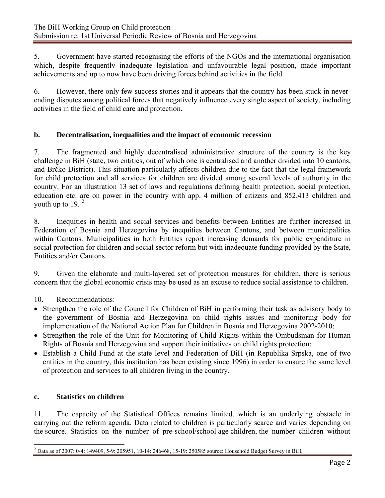5. Government have started recognising the efforts of the NGOs and the international organisation which, despite frequently inadequate legislation and unfavourable legal position, made important achievements and up to now have been driving forces behind activities in the field.

6. However, there only few success stories and it appears that the country has been stuck in neverending disputes among political forces that negatively influence every single aspect of society, including activities in the field of child care and protection.

# **b. Decentralisation, inequalities and the impact of economic recession**

7. The fragmented and highly decentralised administrative structure of the country is the key challenge in BiH (state, two entities, out of which one is centralised and another divided into 10 cantons, and Brčko District). This situation particularly affects children due to the fact that the legal framework for child protection and all services for children are divided among several levels of authority in the country. For an illustration 13 set of laws and regulations defining health protection, social protection, education etc. are on power in the country with app. 4 million of citizens and 852.413 children and youth up to 19.  $2<sup>2</sup>$  $2<sup>2</sup>$ 

8. Inequities in health and social services and benefits between Entities are further increased in Federation of Bosnia and Herzegovina by inequities between Cantons, and between municipalities within Cantons. Municipalities in both Entities report increasing demands for public expenditure in social protection for children and social sector reform but with inadequate funding provided by the State, Entities and/or Cantons.

9. Given the elaborate and multi-layered set of protection measures for children, there is serious concern that the global economic crisis may be used as an excuse to reduce social assistance to children.

10. Recommendations:

- Strengthen the role of the Council for Children of BiH in performing their task as advisory body to the government of Bosnia and Herzegovina on child rights issues and monitoring body for implementation of the National Action Plan for Children in Bosnia and Herzegovina 2002-2010;
- Strengthen the role of the Unit for Monitoring of Child Rights within the Ombudsman for Human Rights of Bosnia and Herzegovina and support their initiatives on child rights protection;
- Establish a Child Fund at the state level and Federation of BiH (in Republika Srpska, one of two entities in the country, this institution has been existing since 1996) in order to ensure the same level of protection and services to all children living in the country.

## **c. Statistics on children**

11. The capacity of the Statistical Offices remains limited, which is an underlying obstacle in carrying out the reform agenda. Data related to children is particularly scarce and varies depending on the source. Statistics on the number of pre-school/school age children, the number children without

<span id="page-1-0"></span> $\overline{a}$ 2 Data as of 2007: 0-4: 149409, 5-9: 205951, 10-14: 246468, 15-19: 250585 source: Household Budget Survey in BiH,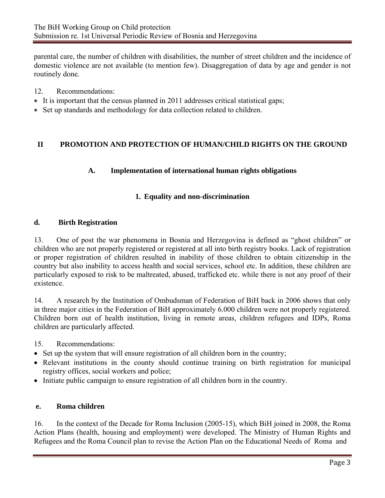parental care, the number of children with disabilities, the number of street children and the incidence of domestic violence are not available (to mention few). Disaggregation of data by age and gender is not routinely done.

- 12. Recommendations:
- It is important that the census planned in 2011 addresses critical statistical gaps;
- Set up standards and methodology for data collection related to children.

# **II PROMOTION AND PROTECTION OF HUMAN/CHILD RIGHTS ON THE GROUND**

# **A. Implementation of international human rights obligations**

# **1. Equality and non-discrimination**

#### **d. Birth Registration**

13. One of post the war phenomena in Bosnia and Herzegovina is defined as "ghost children" or children who are not properly registered or registered at all into birth registry books. Lack of registration or proper registration of children resulted in inability of those children to obtain citizenship in the country but also inability to access health and social services, school etc. In addition, these children are particularly exposed to risk to be maltreated, abused, trafficked etc. while there is not any proof of their existence.

14. A research by the Institution of Ombudsman of Federation of BiH back in 2006 shows that only in three major cities in the Federation of BiH approximately 6.000 children were not properly registered. Children born out of health institution, living in remote areas, children refugees and IDPs, Roma children are particularly affected.

15. Recommendations:

- Set up the system that will ensure registration of all children born in the country;
- Relevant institutions in the county should continue training on birth registration for municipal registry offices, social workers and police;
- Initiate public campaign to ensure registration of all children born in the country.

## **e. Roma children**

16. In the context of the Decade for Roma Inclusion (2005-15), which BiH joined in 2008, the Roma Action Plans (health, housing and employment) were developed. The Ministry of Human Rights and Refugees and the Roma Council plan to revise the Action Plan on the Educational Needs of Roma and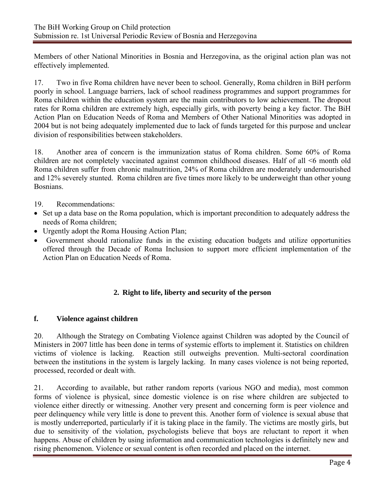Members of other National Minorities in Bosnia and Herzegovina, as the original action plan was not effectively implemented.

17. Two in five Roma children have never been to school. Generally, Roma children in BiH perform poorly in school. Language barriers, lack of school readiness programmes and support programmes for Roma children within the education system are the main contributors to low achievement. The dropout rates for Roma children are extremely high, especially girls, with poverty being a key factor. The BiH Action Plan on Education Needs of Roma and Members of Other National Minorities was adopted in 2004 but is not being adequately implemented due to lack of funds targeted for this purpose and unclear division of responsibilities between stakeholders.

18. Another area of concern is the immunization status of Roma children. Some 60% of Roma children are not completely vaccinated against common childhood diseases. Half of all <6 month old Roma children suffer from chronic malnutrition, 24% of Roma children are moderately undernourished and 12% severely stunted. Roma children are five times more likely to be underweight than other young Bosnians.

- 19. Recommendations:
- Set up a data base on the Roma population, which is important precondition to adequately address the needs of Roma children;
- Urgently adopt the Roma Housing Action Plan;
- Government should rationalize funds in the existing education budgets and utilize opportunities offered through the Decade of Roma Inclusion to support more efficient implementation of the Action Plan on Education Needs of Roma.

# **2. Right to life, liberty and security of the person**

## **f. Violence against children**

20. Although the Strategy on Combating Violence against Children was adopted by the Council of Ministers in 2007 little has been done in terms of systemic efforts to implement it. Statistics on children victims of violence is lacking. Reaction still outweighs prevention. Multi-sectoral coordination between the institutions in the system is largely lacking. In many cases violence is not being reported, processed, recorded or dealt with.

21. According to available, but rather random reports (various NGO and media), most common forms of violence is physical, since domestic violence is on rise where children are subjected to violence either directly or witnessing. Another very present and concerning form is peer violence and peer delinquency while very little is done to prevent this. Another form of violence is sexual abuse that is mostly underreported, particularly if it is taking place in the family. The victims are mostly girls, but due to sensitivity of the violation, psychologists believe that boys are reluctant to report it when happens. Abuse of children by using information and communication technologies is definitely new and rising phenomenon. Violence or sexual content is often recorded and placed on the internet.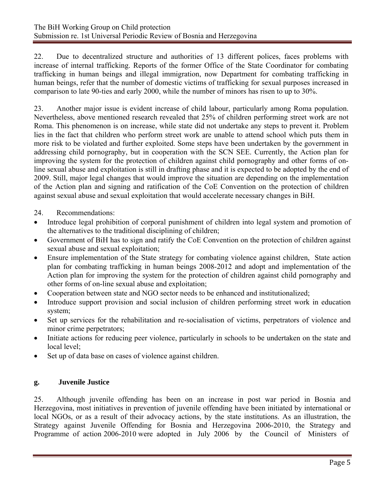22. Due to decentralized structure and authorities of 13 different polices, faces problems with increase of internal trafficking. Reports of the former Office of the State Coordinator for combating trafficking in human beings and illegal immigration, now Department for combating trafficking in human beings, refer that the number of domestic victims of trafficking for sexual purposes increased in comparison to late 90-ties and early 2000, while the number of minors has risen to up to 30%.

23. Another major issue is evident increase of child labour, particularly among Roma population. Nevertheless, above mentioned research revealed that 25% of children performing street work are not Roma. This phenomenon is on increase, while state did not undertake any steps to prevent it. Problem lies in the fact that children who perform street work are unable to attend school which puts them in more risk to be violated and further exploited. Some steps have been undertaken by the government in addressing child pornography, but in cooperation with the SCN SEE. Currently, the Action plan for improving the system for the protection of children against child pornography and other forms of online sexual abuse and exploitation is still in drafting phase and it is expected to be adopted by the end of 2009. Still, major legal changes that would improve the situation are depending on the implementation of the Action plan and signing and ratification of the CoE Convention on the protection of children against sexual abuse and sexual exploitation that would accelerate necessary changes in BiH.

- 24. Recommendations:
- Introduce legal prohibition of corporal punishment of children into legal system and promotion of the alternatives to the traditional disciplining of children;
- Government of BiH has to sign and ratify the CoE Convention on the protection of children against sexual abuse and sexual exploitation;
- Ensure implementation of the State strategy for combating violence against children, State action plan for combating trafficking in human beings 2008-2012 and adopt and implementation of the Action plan for improving the system for the protection of children against child pornography and other forms of on-line sexual abuse and exploitation;
- Cooperation between state and NGO sector needs to be enhanced and institutionalized;
- Introduce support provision and social inclusion of children performing street work in education system;
- Set up services for the rehabilitation and re-socialisation of victims, perpetrators of violence and minor crime perpetrators;
- Initiate actions for reducing peer violence, particularly in schools to be undertaken on the state and local level;
- Set up of data base on cases of violence against children.

## **g. Juvenile Justice**

25. Although juvenile offending has been on an increase in post war period in Bosnia and Herzegovina, most initiatives in prevention of juvenile offending have been initiated by international or local NGOs, or as a result of their advocacy actions, by the state institutions. As an illustration, the Strategy against Juvenile Offending for Bosnia and Herzegovina 2006-2010, the Strategy and Programme of action 2006-2010 were adopted in July 2006 by the Council of Ministers of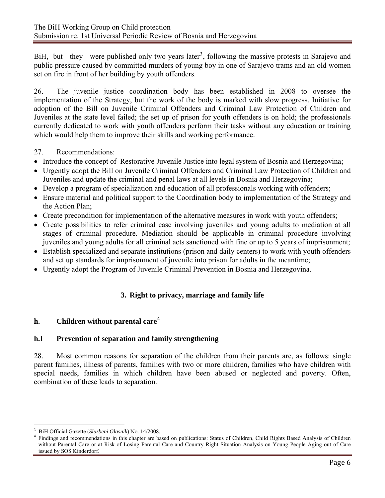BiH, but they were published only two years later<sup>[3](#page-5-0)</sup>, following the massive protests in Sarajevo and public pressure caused by committed murders of young boy in one of Sarajevo trams and an old women set on fire in front of her building by youth offenders.

26. The juvenile justice coordination body has been established in 2008 to oversee the implementation of the Strategy, but the work of the body is marked with slow progress. Initiative for adoption of the Bill on Juvenile Criminal Offenders and Criminal Law Protection of Children and Juveniles at the state level failed; the set up of prison for youth offenders is on hold; the professionals currently dedicated to work with youth offenders perform their tasks without any education or training which would help them to improve their skills and working performance.

27. Recommendations:

- Introduce the concept of Restorative Juvenile Justice into legal system of Bosnia and Herzegovina;
- Urgently adopt the Bill on Juvenile Criminal Offenders and Criminal Law Protection of Children and Juveniles and update the criminal and penal laws at all levels in Bosnia and Herzegovina;
- Develop a program of specialization and education of all professionals working with offenders;
- Ensure material and political support to the Coordination body to implementation of the Strategy and the Action Plan;
- Create precondition for implementation of the alternative measures in work with youth offenders;
- Create possibilities to refer criminal case involving juveniles and young adults to mediation at all stages of criminal procedure. Mediation should be applicable in criminal procedure involving juveniles and young adults for all criminal acts sanctioned with fine or up to 5 years of imprisonment;
- Establish specialized and separate institutions (prison and daily centers) to work with youth offenders and set up standards for imprisonment of juvenile into prison for adults in the meantime;
- Urgently adopt the Program of Juvenile Criminal Prevention in Bosnia and Herzegovina.

# **3. Right to privacy, marriage and family life**

# **h. Children without parental care[4](#page-5-1)**

## **h.I Prevention of separation and family strengthening**

28. Most common reasons for separation of the children from their parents are, as follows: single parent families, illness of parents, families with two or more children, families who have children with special needs, families in which children have been abused or neglected and poverty. Often, combination of these leads to separation.

 $\overline{a}$ 3 BiH Official Gazette (*Sluzbeni Glasnik*) No. 14/2008.

<span id="page-5-1"></span><span id="page-5-0"></span>Findings and recommendations in this chapter are based on publications: Status of Children, Child Rights Based Analysis of Children without Parental Care or at Risk of Losing Parental Care and Country Right Situation Analysis on Young People Aging out of Care issued by SOS Kinderdorf.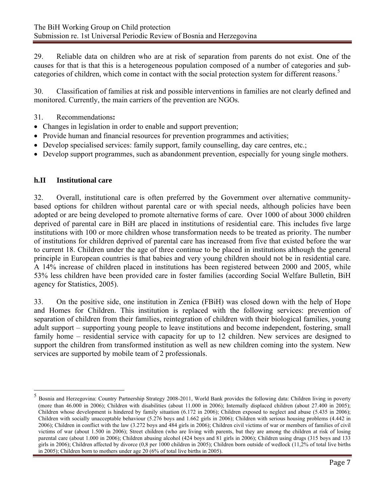29. Reliable data on children who are at risk of separation from parents do not exist. One of the causes for that is that this is a heterogeneous population composed of a number of categories and sub-categories of children, which come in contact with the social protection system for different reasons.<sup>[5](#page-6-0)</sup>

30. Classification of families at risk and possible interventions in families are not clearly defined and monitored. Currently, the main carriers of the prevention are NGOs.

- 31. Recommendations**:**
- Changes in legislation in order to enable and support prevention;
- Provide human and financial resources for prevention programmes and activities;
- Develop specialised services: family support, family counselling, day care centres, etc.;
- Develop support programmes, such as abandonment prevention, especially for young single mothers.

## **h.II Institutional care**

 $\overline{a}$ 

32. Overall, institutional care is often preferred by the Government over alternative communitybased options for children without parental care or with special needs, although policies have been adopted or are being developed to promote alternative forms of care. Over 1000 of about 3000 children deprived of parental care in BiH are placed in institutions of residential care. This includes five large institutions with 100 or more children whose transformation needs to be treated as priority. The number of institutions for children deprived of parental care has increased from five that existed before the war to current 18. Children under the age of three continue to be placed in institutions although the general principle in European countries is that babies and very young children should not be in residential care. A 14% increase of children placed in institutions has been registered between 2000 and 2005, while 53% less children have been provided care in foster families (according Social Welfare Bulletin, BiH agency for Statistics, 2005).

33. On the positive side, one institution in Zenica (FBiH) was closed down with the help of Hope and Homes for Children. This institution is replaced with the following services: prevention of separation of children from their families, reintegration of children with their biological families, young adult support – supporting young people to leave institutions and become independent, fostering, small family home – residential service with capacity for up to 12 children. New services are designed to support the children from transformed institution as well as new children coming into the system. New services are supported by mobile team of 2 professionals.

<span id="page-6-0"></span><sup>5</sup> Bosnia and Herzegovina: Country Partnership Strategy 2008-2011, World Bank provides the following data: Children living in poverty (more than 46.000 in 2006); Children with disabilities (about 11.000 in 2006); Internally displaced children (about 27.400 in 2005); Children whose development is hindered by family situation (6.172 in 2006); Children exposed to neglect and abuse (5.435 in 2006); Children with socially unacceptable behaviour (5.276 boys and 1.662 girls in 2006); Children with serious housing problems (4.442 in 2006); Children in conflict with the law (3.272 boys and 484 girls in 2006); Children civil victims of war or members of families of civil victims of war (about 1.500 in 2006); Street children (who are living with parents, but they are among the children at risk of losing parental care (about 1.000 in 2006); Children abusing alcohol (424 boys and 81 girls in 2006); Children using drugs (315 boys and 133 girls in 2006); Children affected by divorce (0,8 per 1000 children in 2005); Children born outside of wedlock (11,2% of total live births in 2005); Children born to mothers under age 20 (6% of total live births in 2005).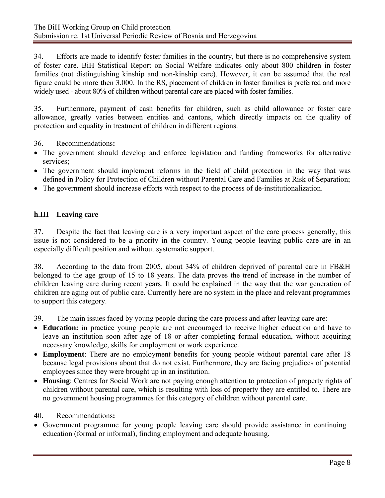34. Efforts are made to identify foster families in the country, but there is no comprehensive system of foster care. BiH Statistical Report on Social Welfare indicates only about 800 children in foster families (not distinguishing kinship and non-kinship care). However, it can be assumed that the real figure could be more then 3.000. In the RS, placement of children in foster families is preferred and more widely used - about 80% of children without parental care are placed with foster families.

35. Furthermore, payment of cash benefits for children, such as child allowance or foster care allowance, greatly varies between entities and cantons, which directly impacts on the quality of protection and equality in treatment of children in different regions.

36. Recommendations**:** 

- The government should develop and enforce legislation and funding frameworks for alternative services;
- The government should implement reforms in the field of child protection in the way that was defined in Policy for Protection of Children without Parental Care and Families at Risk of Separation;
- The government should increase efforts with respect to the process of de-institutionalization.

# **h.III Leaving care**

37. Despite the fact that leaving care is a very important aspect of the care process generally, this issue is not considered to be a priority in the country. Young people leaving public care are in an especially difficult position and without systematic support.

38. According to the data from 2005, about 34% of children deprived of parental care in FB&H belonged to the age group of 15 to 18 years. The data proves the trend of increase in the number of children leaving care during recent years. It could be explained in the way that the war generation of children are aging out of public care. Currently here are no system in the place and relevant programmes to support this category.

39. The main issues faced by young people during the care process and after leaving care are:

- **Education:** in practice young people are not encouraged to receive higher education and have to leave an institution soon after age of 18 or after completing formal education, without acquiring necessary knowledge, skills for employment or work experience.
- **Employment**: There are no employment benefits for young people without parental care after 18 because legal provisions about that do not exist. Furthermore, they are facing prejudices of potential employees since they were brought up in an institution.
- **Housing**: Centres for Social Work are not paying enough attention to protection of property rights of children without parental care, which is resulting with loss of property they are entitled to. There are no government housing programmes for this category of children without parental care.

#### 40. Recommendations**:**

• Government programme for young people leaving care should provide assistance in continuing education (formal or informal), finding employment and adequate housing.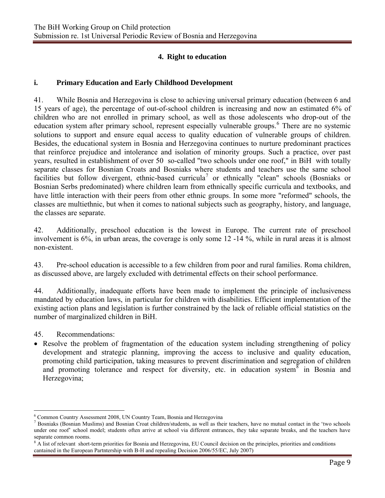# **4. Right to education**

#### **i. Primary Education and Early Childhood Development**

41. While Bosnia and Herzegovina is close to achieving universal primary education (between 6 and 15 years of age), the percentage of out-of-school children is increasing and now an estimated 6% of children who are not enrolled in primary school, as well as those adolescents who drop-out of the education system after primary school, represent especially vulnerable groups.<sup>[6](#page-8-0)</sup> There are no systemic solutions to support and ensure equal access to quality education of vulnerable groups of children. Besides, the educational system in Bosnia and Herzegovina continues to nurture predominant practices that reinforce prejudice and intolerance and isolation of minority groups. Such a practice, over past years, resulted in establishment of over 50 so-called "two schools under one roof," in BiH with totally separate classes for Bosnian Croats and Bosniaks where students and teachers use the same school facilities but follow divergent, ethnic-based curricula<sup>[7](#page-8-1)</sup> or ethnically "clean" schools (Bosniaks or Bosnian Serbs predominated) where children learn from ethnically specific curricula and textbooks, and have little interaction with their peers from other ethnic groups. In some more "reformed" schools, the classes are multiethnic, but when it comes to national subjects such as geography, history, and language, the classes are separate.

42. Additionally, preschool education is the lowest in Europe. The current rate of preschool involvement is 6%, in urban areas, the coverage is only some 12 -14 %, while in rural areas it is almost non-existent.

43. Pre-school education is accessible to a few children from poor and rural families. Roma children, as discussed above, are largely excluded with detrimental effects on their school performance.

44. Additionally, inadequate efforts have been made to implement the principle of inclusiveness mandated by education laws, in particular for children with disabilities. Efficient implementation of the existing action plans and legislation is further constrained by the lack of reliable official statistics on the number of marginalized children in BiH.

45. Recommendations:

 $\overline{a}$ 

• Resolve the problem of fragmentation of the education system including strengthening of policy development and strategic planning, improving the access to inclusive and quality education, promoting child participation, taking measures to prevent discrimination and segregation of children and promoting tolerance and respect for diversity, etc. in education system $\frac{8}{3}$  $\frac{8}{3}$  $\frac{8}{3}$  in Bosnia and Herzegovina;

<sup>&</sup>lt;sup>6</sup> Common Country Assessment 2008, UN Country Team, Bosnia and Herzegovina<br><sup>7</sup> Posniaks (Bosnian Muslims) and Bosnian Creet shildren/students, as well as the

<span id="page-8-1"></span><span id="page-8-0"></span>Bosniaks (Bosnian Muslims) and Bosnian Croat children/students, as well as their teachers, have no mutual contact in the 'two schools under one roof' school model; students often arrive at school via different entrances, they take separate breaks, and the teachers have separate common rooms.

<span id="page-8-2"></span><sup>&</sup>lt;sup>8</sup> A list of relevant short-term priorities for Bosnia and Herzegovina, EU Council decision on the principles, priorities and conditions cantained in the European Partntership with B-H and repealing Decision 2006/55/EC, July 2007)